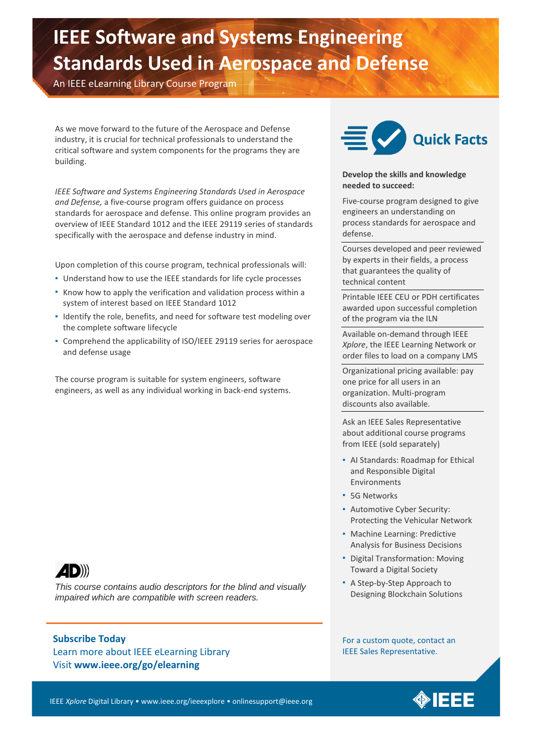# **IEEE Software and Systems Engineering Standards Used in Aerospace and Defense**

An IEEE eLearning Library Course Program

As we move forward to the future of the Aerospace and Defense industry, it is crucial for technical professionals to understand the critical software and system components for the programs they are building.

*IEEE Software and Systems Engineering Standards Used in Aerospace and Defense,* a five-course program offers guidance on process standards for aerospace and defense. This online program provides an overview of IEEE Standard 1012 and the IEEE 29119 series of standards specifically with the aerospace and defense industry in mind.

Upon completion of this course program, technical professionals will:

- Understand how to use the IEEE standards for life cycle processes
- Know how to apply the verification and validation process within a system of interest based on IEEE Standard 1012
- Identify the role, benefits, and need for software test modeling over the complete software lifecycle
- Comprehend the applicability of ISO/IEEE 29119 series for aerospace and defense usage

The course program is suitable for system engineers, software engineers, as well as any individual working in back-end systems.



#### **Develop the skills and knowledge needed to succeed:**

Five-course program designed to give engineers an understanding on process standards for aerospace and defense.

Courses developed and peer reviewed by experts in their fields, a process that guarantees the quality of technical content

Printable IEEE CEU or PDH certificates awarded upon successful completion of the program via the ILN

Available on-demand through IEEE *Xplore*, the IEEE Learning Network or order files to load on a company LMS

Organizational pricing available: pay one price for all users in an organization. Multi-program discounts also available.

Ask an IEEE Sales Representative about additional course programs from IEEE (sold separately)

- AI Standards: Roadmap for Ethical and Responsible Digital Environments
- **5G Networks**
- Automotive Cyber Security: Protecting the Vehicular Network
- Machine Learning: Predictive Analysis for Business Decisions
- Digital Transformation: Moving Toward a Digital Society
- A Step-by-Step Approach to Designing Blockchain Solutions

**4D))** 

*This course contains audio descriptors for the blind and visually impaired which are compatible with screen readers.*

### **Subscribe Today**

Learn more about IEEE eLearning Library Visit **www.ieee.org/go/elearning**

For a custom quote, contact an IEEE Sales Representative.

IEEE *Xplore* Digital Library • www.ieee.org/ieeexplore • onlinesupport@ieee.org